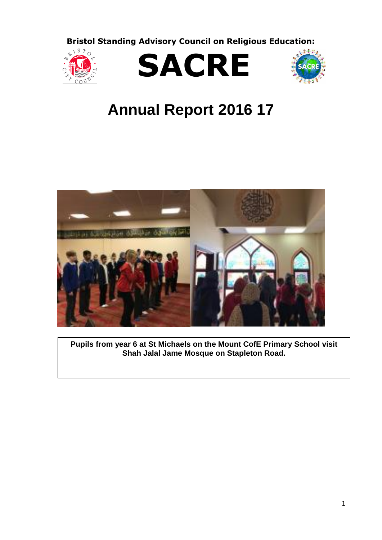**Bristol Standing Advisory Council on Religious Education:**







# **Annual Report 2016 17**



**Pupils from year 6 at St Michaels on the Mount CofE Primary School visit Shah Jalal Jame Mosque on Stapleton Road.**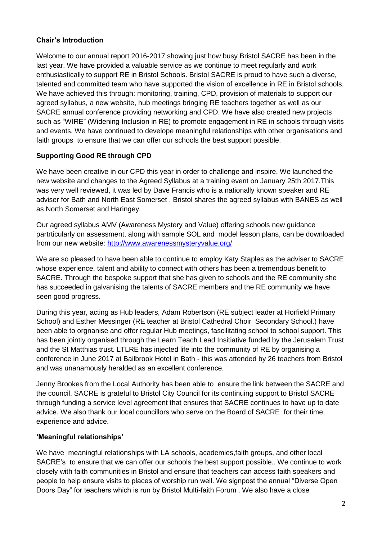## **Chair's Introduction**

Welcome to our annual report 2016-2017 showing just how busy Bristol SACRE has been in the last year. We have provided a valuable service as we continue to meet regularly and work enthusiastically to support RE in Bristol Schools. Bristol SACRE is proud to have such a diverse, talented and committed team who have supported the vision of excellence in RE in Bristol schools. We have achieved this through: monitoring, training, CPD, provision of materials to support our agreed syllabus, a new website, hub meetings bringing RE teachers together as well as our SACRE annual conference providing networking and CPD. We have also created new projects such as "WIRE" (Widening Inclusion in RE) to promote engagement in RE in schools through visits and events. We have continued to develope meaningful relationships with other organisations and faith groups to ensure that we can offer our schools the best support possible.

## **Supporting Good RE through CPD**

We have been creative in our CPD this year in order to challenge and inspire. We launched the new website and changes to the Agreed Syllabus at a training event on January 25th 2017.This was very well reviewed, it was led by Dave Francis who is a nationally known speaker and RE adviser for Bath and North East Somerset . Bristol shares the agreed syllabus with BANES as well as North Somerset and Haringey.

Our agreed syllabus AMV (Awareness Mystery and Value) offering schools new guidance partrticularly on assessment, along with sample SOL and model lesson plans, can be downloaded from our new website:<http://www.awarenessmysteryvalue.org/>

We are so pleased to have been able to continue to employ Katy Staples as the adviser to SACRE whose experience, talent and ability to connect with others has been a tremendous benefit to SACRE. Through the bespoke support that she has given to schools and the RE community she has succeeded in galvanising the talents of SACRE members and the RE community we have seen good progress.

During this year, acting as Hub leaders, Adam Robertson (RE subject leader at Horfield Primary School) and Esther Messinger (RE teacher at Bristol Cathedral Choir Secondary School.) have been able to orgnanise and offer regular Hub meetings, fascilitating school to school support. This has been jointly organised through the Learn Teach Lead Insitiative funded by the Jerusalem Trust and the St Matthias trust. LTLRE has injected life into the community of RE by organising a conference in June 2017 at Bailbrook Hotel in Bath - this was attended by 26 teachers from Bristol and was unanamously heralded as an excellent conference.

Jenny Brookes from the Local Authority has been able to ensure the link between the SACRE and the council. SACRE is grateful to Bristol City Council for its continuing support to Bristol SACRE through funding a service level agreement that ensures that SACRE continues to have up to date advice. We also thank our local councillors who serve on the Board of SACRE for their time, experience and advice.

### **'Meaningful relationships'**

We have meaningful relationships with LA schools, academies,faith groups, and other local SACRE's to ensure that we can offer our schools the best support possible.. We continue to work closely with faith communities in Bristol and ensure that teachers can access faith speakers and people to help ensure visits to places of worship run well. We signpost the annual "Diverse Open Doors Day" for teachers which is run by Bristol Multi-faith Forum . We also have a close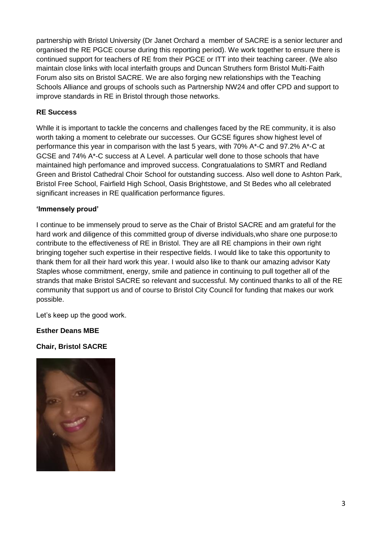partnership with Bristol University (Dr Janet Orchard a member of SACRE is a senior lecturer and organised the RE PGCE course during this reporting period). We work together to ensure there is continued support for teachers of RE from their PGCE or ITT into their teaching career. (We also maintain close links with local interfaith groups and Duncan Struthers form Bristol Multi-Faith Forum also sits on Bristol SACRE. We are also forging new relationships with the Teaching Schools Alliance and groups of schools such as Partnership NW24 and offer CPD and support to improve standards in RE in Bristol through those networks.

## **RE Success**

While it is important to tackle the concerns and challenges faced by the RE community, it is also worth taking a moment to celebrate our successes. Our GCSE figures show highest level of performance this year in comparison with the last 5 years, with 70% A\*-C and 97.2% A\*-C at GCSE and 74% A\*-C success at A Level. A particular well done to those schools that have maintained high perfomance and improved success. Congratualations to SMRT and Redland Green and Bristol Cathedral Choir School for outstanding success. Also well done to Ashton Park, Bristol Free School, Fairfield High School, Oasis Brightstowe, and St Bedes who all celebrated significant increases in RE qualification performance figures.

### **'Immensely proud'**

I continue to be immensely proud to serve as the Chair of Bristol SACRE and am grateful for the hard work and diligence of this committed group of diverse individuals,who share one purpose:to contribute to the effectiveness of RE in Bristol. They are all RE champions in their own right bringing togeher such expertise in their respective fields. I would like to take this opportunity to thank them for all their hard work this year. I would also like to thank our amazing advisor Katy Staples whose commitment, energy, smile and patience in continuing to pull together all of the strands that make Bristol SACRE so relevant and successful. My continued thanks to all of the RE community that support us and of course to Bristol City Council for funding that makes our work possible.

Let's keep up the good work.

## **Esther Deans MBE**

### **Chair, Bristol SACRE**

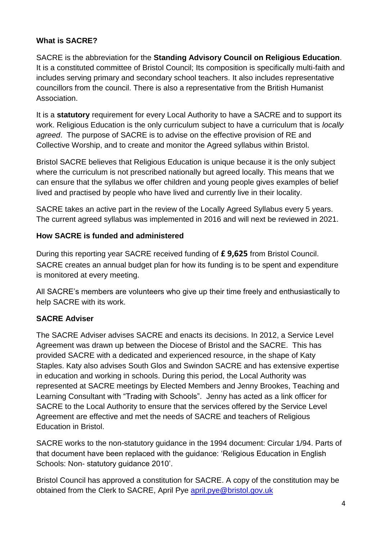# **What is SACRE?**

SACRE is the abbreviation for the **Standing Advisory Council on Religious Education**. It is a constituted committee of Bristol Council; Its composition is specifically multi-faith and includes serving primary and secondary school teachers. It also includes representative councillors from the council. There is also a representative from the British Humanist Association.

It is a **statutory** requirement for every Local Authority to have a SACRE and to support its work. Religious Education is the only curriculum subject to have a curriculum that is *locally agreed*. The purpose of SACRE is to advise on the effective provision of RE and Collective Worship, and to create and monitor the Agreed syllabus within Bristol.

Bristol SACRE believes that Religious Education is unique because it is the only subject where the curriculum is not prescribed nationally but agreed locally. This means that we can ensure that the syllabus we offer children and young people gives examples of belief lived and practised by people who have lived and currently live in their locality.

SACRE takes an active part in the review of the Locally Agreed Syllabus every 5 years. The current agreed syllabus was implemented in 2016 and will next be reviewed in 2021.

# **How SACRE is funded and administered**

During this reporting year SACRE received funding of **£ 9,625** from Bristol Council. SACRE creates an annual budget plan for how its funding is to be spent and expenditure is monitored at every meeting.

All SACRE's members are volunteers who give up their time freely and enthusiastically to help SACRE with its work.

# **SACRE Adviser**

The SACRE Adviser advises SACRE and enacts its decisions. In 2012, a Service Level Agreement was drawn up between the Diocese of Bristol and the SACRE. This has provided SACRE with a dedicated and experienced resource, in the shape of Katy Staples. Katy also advises South Glos and Swindon SACRE and has extensive expertise in education and working in schools. During this period, the Local Authority was represented at SACRE meetings by Elected Members and Jenny Brookes, Teaching and Learning Consultant with "Trading with Schools". Jenny has acted as a link officer for SACRE to the Local Authority to ensure that the services offered by the Service Level Agreement are effective and met the needs of SACRE and teachers of Religious Education in Bristol.

SACRE works to the non-statutory guidance in the 1994 document: Circular 1/94. Parts of that document have been replaced with the guidance: 'Religious Education in English Schools: Non- statutory guidance 2010'.

Bristol Council has approved a constitution for SACRE. A copy of the constitution may be obtained from the Clerk to SACRE, April Pye [april.pye@bristol.gov.uk](mailto:april.pye@bristol.gov.uk)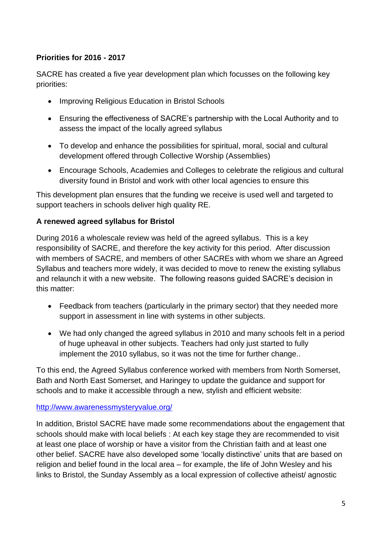# **Priorities for 2016 - 2017**

SACRE has created a five year development plan which focusses on the following key priorities:

- Improving Religious Education in Bristol Schools
- Ensuring the effectiveness of SACRE's partnership with the Local Authority and to assess the impact of the locally agreed syllabus
- To develop and enhance the possibilities for spiritual, moral, social and cultural development offered through Collective Worship (Assemblies)
- Encourage Schools, Academies and Colleges to celebrate the religious and cultural diversity found in Bristol and work with other local agencies to ensure this

This development plan ensures that the funding we receive is used well and targeted to support teachers in schools deliver high quality RE.

## **A renewed agreed syllabus for Bristol**

During 2016 a wholescale review was held of the agreed syllabus. This is a key responsibility of SACRE, and therefore the key activity for this period. After discussion with members of SACRE, and members of other SACREs with whom we share an Agreed Syllabus and teachers more widely, it was decided to move to renew the existing syllabus and relaunch it with a new website. The following reasons guided SACRE's decision in this matter:

- Feedback from teachers (particularly in the primary sector) that they needed more support in assessment in line with systems in other subjects.
- We had only changed the agreed syllabus in 2010 and many schools felt in a period of huge upheaval in other subjects. Teachers had only just started to fully implement the 2010 syllabus, so it was not the time for further change..

To this end, the Agreed Syllabus conference worked with members from North Somerset, Bath and North East Somerset, and Haringey to update the guidance and support for schools and to make it accessible through a new, stylish and efficient website:

## <http://www.awarenessmysteryvalue.org/>

In addition, Bristol SACRE have made some recommendations about the engagement that schools should make with local beliefs : At each key stage they are recommended to visit at least one place of worship or have a visitor from the Christian faith and at least one other belief. SACRE have also developed some 'locally distinctive' units that are based on religion and belief found in the local area – for example, the life of John Wesley and his links to Bristol, the Sunday Assembly as a local expression of collective atheist/ agnostic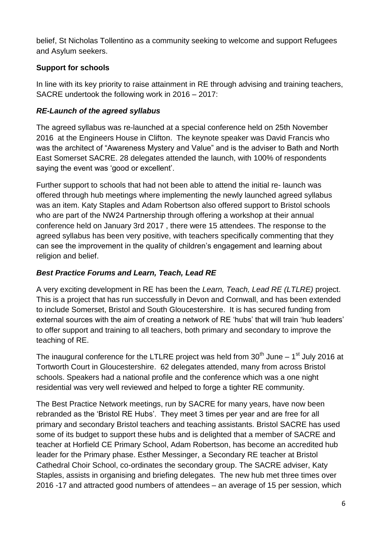belief, St Nicholas Tollentino as a community seeking to welcome and support Refugees and Asylum seekers.

# **Support for schools**

In line with its key priority to raise attainment in RE through advising and training teachers, SACRE undertook the following work in 2016 – 2017:

# *RE-Launch of the agreed syllabus*

The agreed syllabus was re-launched at a special conference held on 25th November 2016 at the Engineers House in Clifton. The keynote speaker was David Francis who was the architect of "Awareness Mystery and Value" and is the adviser to Bath and North East Somerset SACRE. 28 delegates attended the launch, with 100% of respondents saying the event was 'good or excellent'.

Further support to schools that had not been able to attend the initial re- launch was offered through hub meetings where implementing the newly launched agreed syllabus was an item. Katy Staples and Adam Robertson also offered support to Bristol schools who are part of the NW24 Partnership through offering a workshop at their annual conference held on January 3rd 2017 , there were 15 attendees. The response to the agreed syllabus has been very positive, with teachers specifically commenting that they can see the improvement in the quality of children's engagement and learning about religion and belief.

# *Best Practice Forums and Learn, Teach, Lead RE*

A very exciting development in RE has been the *Learn, Teach, Lead RE (LTLRE)* project. This is a project that has run successfully in Devon and Cornwall, and has been extended to include Somerset, Bristol and South Gloucestershire. It is has secured funding from external sources with the aim of creating a network of RE 'hubs' that will train 'hub leaders' to offer support and training to all teachers, both primary and secondary to improve the teaching of RE.

The inaugural conference for the LTLRE project was held from  $30<sup>th</sup>$  June – 1<sup>st</sup> July 2016 at Tortworth Court in Gloucestershire. 62 delegates attended, many from across Bristol schools. Speakers had a national profile and the conference which was a one night residential was very well reviewed and helped to forge a tighter RE community.

The Best Practice Network meetings, run by SACRE for many years, have now been rebranded as the 'Bristol RE Hubs'. They meet 3 times per year and are free for all primary and secondary Bristol teachers and teaching assistants. Bristol SACRE has used some of its budget to support these hubs and is delighted that a member of SACRE and teacher at Horfield CE Primary School, Adam Robertson, has become an accredited hub leader for the Primary phase. Esther Messinger, a Secondary RE teacher at Bristol Cathedral Choir School, co-ordinates the secondary group. The SACRE adviser, Katy Staples, assists in organising and briefing delegates. The new hub met three times over 2016 -17 and attracted good numbers of attendees – an average of 15 per session, which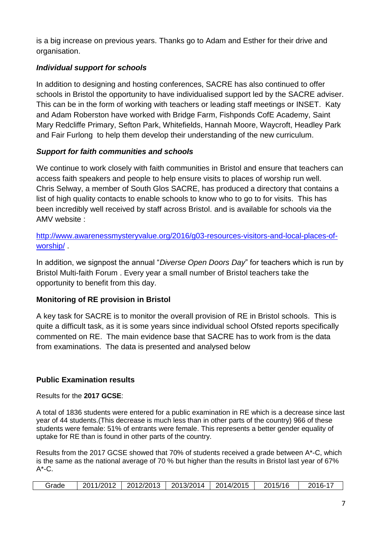is a big increase on previous years. Thanks go to Adam and Esther for their drive and organisation.

# *Individual support for schools*

In addition to designing and hosting conferences, SACRE has also continued to offer schools in Bristol the opportunity to have individualised support led by the SACRE adviser. This can be in the form of working with teachers or leading staff meetings or INSET. Katy and Adam Roberston have worked with Bridge Farm, Fishponds CofE Academy, Saint Mary Redcliffe Primary, Sefton Park, Whitefields, Hannah Moore, Waycroft, Headley Park and Fair Furlong to help them develop their understanding of the new curriculum.

## *Support for faith communities and schools*

We continue to work closely with faith communities in Bristol and ensure that teachers can access faith speakers and people to help ensure visits to places of worship run well. Chris Selway, a member of South Glos SACRE, has produced a directory that contains a list of high quality contacts to enable schools to know who to go to for visits. This has been incredibly well received by staff across Bristol. and is available for schools via the AMV website :

[http://www.awarenessmysteryvalue.org/2016/g03-resources-visitors-and-local-places-of](http://www.awarenessmysteryvalue.org/2016/g03-resources-visitors-and-local-places-of-worship/)[worship/](http://www.awarenessmysteryvalue.org/2016/g03-resources-visitors-and-local-places-of-worship/) .

In addition, we signpost the annual "*Diverse Open Doors Day*" for teachers which is run by Bristol Multi-faith Forum . Every year a small number of Bristol teachers take the opportunity to benefit from this day.

# **Monitoring of RE provision in Bristol**

A key task for SACRE is to monitor the overall provision of RE in Bristol schools. This is quite a difficult task, as it is some years since individual school Ofsted reports specifically commented on RE. The main evidence base that SACRE has to work from is the data from examinations. The data is presented and analysed below

# **Public Examination results**

Results for the **2017 GCSE**:

A total of 1836 students were entered for a public examination in RE which is a decrease since last year of 44 students.(This decrease is much less than in other parts of the country) 966 of these students were female: 51% of entrants were female. This represents a better gender equality of uptake for RE than is found in other parts of the country.

Results from the 2017 GCSE showed that 70% of students received a grade between A\*-C, which is the same as the national average of 70 % but higher than the results in Bristol last year of 67%  $A^*$ -C.

|  | Grade |  |  | 2011/2012 2012/2013 2013/2014 2014/2015 |  | 2015/16 | 2016-17 |
|--|-------|--|--|-----------------------------------------|--|---------|---------|
|--|-------|--|--|-----------------------------------------|--|---------|---------|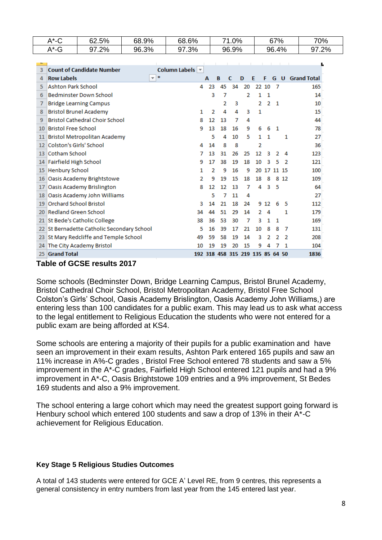|  |                 | $A^*$ -C                      | 62.5%                                      | 68.9% | 68.6%             |   |    |    | 71.0% |                                  |    |             | 67%          |       | 70%                    |  |
|--|-----------------|-------------------------------|--------------------------------------------|-------|-------------------|---|----|----|-------|----------------------------------|----|-------------|--------------|-------|------------------------|--|
|  |                 | $A^*$ -G                      | 97.2%                                      | 96.3% | 97.3%             |   |    |    | 96.9% |                                  |    |             | 96.4%        |       | 97.2%                  |  |
|  |                 |                               |                                            |       |                   |   |    |    |       |                                  |    |             |              |       |                        |  |
|  | 3               |                               | <b>Count of Candidate Number</b>           |       | Column Labels   v |   |    |    |       |                                  |    |             |              |       |                        |  |
|  | 4               | <b>Row Labels</b>             |                                            | $-$ * |                   | А |    | в  | С     | D                                | Ε  | F           |              |       | <b>G</b> U Grand Total |  |
|  | 5               | <b>Ashton Park School</b>     |                                            |       |                   | 4 | 23 | 45 | 34    | 20                               |    | 22 10       | -7           |       | 165                    |  |
|  | 6               |                               | <b>Bedminster Down School</b>              |       |                   |   | 3  | 7  |       | 2                                | 1  | 1           |              |       | 14                     |  |
|  | 7               |                               | <b>Bridge Learning Campus</b>              |       |                   |   |    | 2  | з     |                                  | 2  | 2           | $\mathbf{1}$ |       | 10                     |  |
|  | 8               |                               | <b>Bristol Brunel Academy</b>              |       |                   | 1 | 2  | 4  | 4     | 3                                | 1  |             |              |       | 15                     |  |
|  | 9               |                               | <b>Bristol Cathedral Choir School</b>      |       |                   | 8 | 12 | 13 | 7     | 4                                |    |             |              |       | 44                     |  |
|  | 10              | <b>Bristol Free School</b>    |                                            |       |                   | 9 | 13 | 18 | 16    | 9                                | 6  | 6           | - 1          |       | 78                     |  |
|  | 11              |                               | <b>Bristol Metropolitan Academy</b>        |       |                   |   | 5  | 4  | 10    | 5                                | 1. | 1           |              | 1     | 27                     |  |
|  | 12              | Colston's Girls' School       |                                            |       |                   | 4 | 14 | 8  | 8     |                                  | 2  |             |              |       | 36                     |  |
|  | 13              | Cotham School                 |                                            |       |                   | 7 | 13 | 31 | 26    | 25                               | 12 | 3           | 2            | 4     | 123                    |  |
|  |                 | 14 Fairfield High School      |                                            |       |                   | 9 | 17 | 38 | 19    | 18                               | 10 | з           | 5            | 2     | 121                    |  |
|  | 15              | <b>Henbury School</b>         |                                            |       |                   | 1 | 2  | 9  | 16    | 9                                |    | 20 17 11 15 |              |       | 100                    |  |
|  | 16 <sup>1</sup> |                               | Oasis Academy Brightstowe                  |       |                   | 2 | 9  | 19 | 15    | 18                               | 18 | 8           |              | 8 1 2 | 109                    |  |
|  | 17              |                               | Oasis Academy Brislington                  |       |                   | 8 | 12 | 12 | 13    | 7                                | 4  | 3           | -5           |       | 64                     |  |
|  |                 |                               | 18 Oasis Academy John Williams             |       |                   |   | 5  | 7  | 11    | 4                                |    |             |              |       | 27                     |  |
|  | 19              | <b>Orchard School Bristol</b> |                                            |       |                   | з | 14 | 21 | 18    | 24                               |    | 9 12        | 6            | -5    | 112                    |  |
|  |                 | 20 Redland Green School       |                                            |       | 34                |   | 44 | 51 | 29    | 14                               | 2  | 4           |              | 1     | 179                    |  |
|  |                 |                               | 21 St Bede's Catholic College              |       | 38                |   | 36 | 53 | 30    | 7                                | 3  | 1           | 1            |       | 169                    |  |
|  |                 |                               | 22 St Bernadette Catholic Secondary School |       |                   | 5 | 16 | 39 | 17    | 21                               | 10 | 8           | 8            | 7     | 131                    |  |
|  |                 |                               | 23 St Mary Redcliffe and Temple School     |       | 49                |   | 59 | 58 | 19    | 14                               | з  | 2           | 2            | 2     | 208                    |  |
|  |                 |                               | 24 The City Academy Bristol                |       | 10                |   | 19 | 19 | 20    | 15                               | 9  | Δ           |              |       | 104                    |  |
|  | 25              | <b>Grand Total</b>            |                                            |       |                   |   |    |    |       | 192 318 458 315 219 135 85 64 50 |    |             |              |       | 1836                   |  |

### **Table of GCSE results 2017**

Some schools (Bedminster Down, Bridge Learning Campus, Bristol Brunel Academy, Bristol Cathedral Choir School, Bristol Metropolitan Academy, Bristol Free School Colston's Girls' School, Oasis Academy Brislington, Oasis Academy John Williams,) are entering less than 100 candidates for a public exam. This may lead us to ask what access to the legal entitlement to Religious Education the students who were not entered for a public exam are being afforded at KS4.

Some schools are entering a majority of their pupils for a public examination and have seen an improvement in their exam results, Ashton Park entered 165 pupils and saw an 11% increase in A%-C grades , Bristol Free School entered 78 students and saw a 5% improvement in the A\*-C grades, Fairfield High School entered 121 pupils and had a 9% improvement in A\*-C, Oasis Brightstowe 109 entries and a 9% improvement, St Bedes 169 students and also a 9% improvement.

The school entering a large cohort which may need the greatest support going forward is Henbury school which entered 100 students and saw a drop of 13% in their A\*-C achievement for Religious Education.

### **Key Stage 5 Religious Studies Outcomes**

A total of 143 students were entered for GCE A' Level RE, from 9 centres, this represents a general consistency in entry numbers from last year from the 145 entered last year.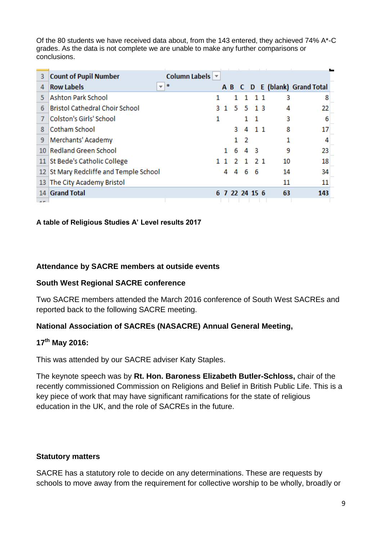Of the 80 students we have received data about, from the 143 entered, they achieved 74% A\*-C grades. As the data is not complete we are unable to make any further comparisons or conclusions.

| 3   | <b>Count of Pupil Number</b>                  | Column Labels   ▼ |              |    |                |       |    |                               |
|-----|-----------------------------------------------|-------------------|--------------|----|----------------|-------|----|-------------------------------|
|     |                                               |                   |              |    |                |       |    |                               |
| 4   | <b>Row Labels</b><br>$\overline{\phantom{a}}$ | 丰                 |              |    |                |       |    | A B C D E (blank) Grand Total |
| 5   | <b>Ashton Park School</b>                     | 1                 |              |    | 1.             | 11    | 3  | 8                             |
| 6   | <b>Bristol Cathedral Choir School</b>         | з.                | $\mathbf{1}$ | 5. |                | 5 1 3 | 4  | 22                            |
|     | Colston's Girls' School                       | 1                 |              |    | 1.             | -1    | 3  | 6                             |
| 8   | Cotham School                                 |                   |              | з. |                | 4 1 1 | 8  | 17                            |
| 9   | Merchants' Academy                            |                   |              | 1. | -2             |       |    | 4                             |
|     | 10 Redland Green School                       |                   | 1.           | 6  |                | 43    | 9  | 23                            |
|     | 11 St Bede's Catholic College                 | 11                |              | 2  |                | 1 2 1 | 10 | 18                            |
|     | 12 St Mary Redcliffe and Temple School        |                   | 4            | 4  |                | 66    | 14 | 34                            |
| 13  | The City Academy Bristol                      |                   |              |    |                |       | 11 | 11                            |
| 14  | <b>Grand Total</b>                            |                   |              |    | 6 7 22 24 15 6 |       | 63 | 143                           |
| $-$ |                                               |                   |              |    |                |       |    |                               |

## **A table of Religious Studies A' Level results 2017**

## **Attendance by SACRE members at outside events**

## **South West Regional SACRE conference**

Two SACRE members attended the March 2016 conference of South West SACREs and reported back to the following SACRE meeting.

## **National Association of SACREs (NASACRE) Annual General Meeting,**

## **17th May 2016:**

This was attended by our SACRE adviser Katy Staples.

The keynote speech was by **Rt. Hon. Baroness Elizabeth Butler-Schloss,** chair of the recently commissioned Commission on Religions and Belief in British Public Life. This is a key piece of work that may have significant ramifications for the state of religious education in the UK, and the role of SACREs in the future.

## **Statutory matters**

SACRE has a statutory role to decide on any determinations. These are requests by schools to move away from the requirement for collective worship to be wholly, broadly or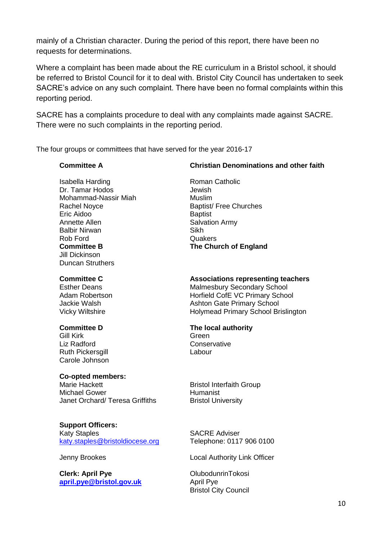mainly of a Christian character. During the period of this report, there have been no requests for determinations.

Where a complaint has been made about the RE curriculum in a Bristol school, it should be referred to Bristol Council for it to deal with. Bristol City Council has undertaken to seek SACRE's advice on any such complaint. There have been no formal complaints within this reporting period.

SACRE has a complaints procedure to deal with any complaints made against SACRE. There were no such complaints in the reporting period.

The four groups or committees that have served for the year 2016-17

#### **Committee A**

Isabella Harding Dr. Tamar Hodos Mohammad-Nassir Miah Rachel Noyce Eric Aidoo Annette Allen Balbir Nirwan Rob Ford **Committee B** Jill Dickinson Duncan Struthers

#### **Committee C**

Esther Deans Adam Robertson Jackie Walsh Vicky Wiltshire

#### **Committee D**

Gill Kirk Liz Radford Ruth Pickersgill Carole Johnson

#### **Co-opted members:**

Marie Hackett Michael Gower Janet Orchard/ Teresa Griffiths

**Support Officers:** Katy Staples [katy.staples@bristoldiocese.org](mailto:katy.staples@bristoldiocese.org)

#### Jenny Brookes

**Clerk: April Pye [april.pye@bristol.gov.uk](mailto:april.pye@bristol.gov.uk)**

### **Christian Denominations and other faith**

Roman Catholic Jewish Muslim Baptist/ Free Churches **Baptist** Salvation Army Sikh **Quakers The Church of England**

#### **Associations representing teachers**

Malmesbury Secondary School Horfield CofE VC Primary School Ashton Gate Primary School Holymead Primary School Brislington

#### **The local authority**

Green **Conservative** Labour

Bristol Interfaith Group Humanist Bristol University

SACRE Adviser Telephone: 0117 906 0100

Local Authority Link Officer

OlubodunrinTokosi April Pye Bristol City Council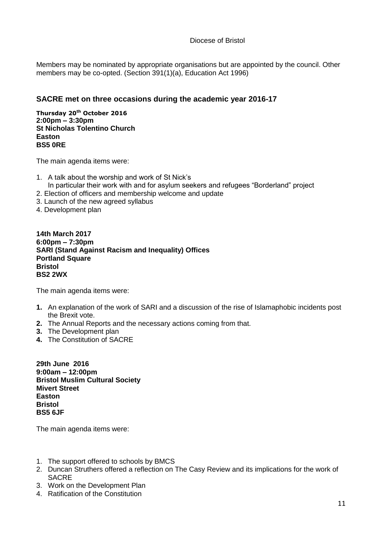Diocese of Bristol

Members may be nominated by appropriate organisations but are appointed by the council. Other members may be co-opted. (Section 391(1)(a), Education Act 1996)

## **SACRE met on three occasions during the academic year 2016-17**

**Thursday 20th October 2016 2:00pm – 3:30pm St Nicholas Tolentino Church Easton BS5 0RE**

The main agenda items were:

- 1. A talk about the worship and work of St Nick's In particular their work with and for asylum seekers and refugees "Borderland" project
- 2. Election of officers and membership welcome and update
- 3. Launch of the new agreed syllabus
- 4. Development plan

**14th March 2017 6:00pm – 7:30pm SARI (Stand Against Racism and Inequality) Offices Portland Square Bristol BS2 2WX**

The main agenda items were:

- **1.** An explanation of the work of SARI and a discussion of the rise of Islamaphobic incidents post the Brexit vote.
- **2.** The Annual Reports and the necessary actions coming from that.
- **3.** The Development plan
- **4.** The Constitution of SACRE

**29th June 2016 9:00am – 12:00pm Bristol Muslim Cultural Society Mivert Street Easton Bristol BS5 6JF**

The main agenda items were:

- 1. The support offered to schools by BMCS
- 2. Duncan Struthers offered a reflection on The Casy Review and its implications for the work of SACRE
- 3. Work on the Development Plan
- 4. Ratification of the Constitution